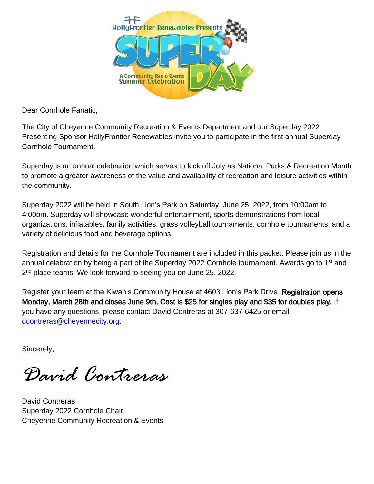

Dear Cornhole Fanatic,

The City of Cheyenne Community Recreation & Events Department and our Superday 2022 Presenting Sponsor HollyFrontier Renewables invite you to participate in the first annual Superday Cornhole Tournament.

Superday is an annual celebration which serves to kick off July as National Parks & Recreation Month to promote a greater awareness of the value and availability of recreation and leisure activities within the community.

Superday 2022 will be held in South Lion's Park on Saturday, June 25, 2022, from 10:00am to 4:00pm. Superday will showcase wonderful entertainment, sports demonstrations from local organizations, inflatables, family activities, grass volleyball tournaments, cornhole tournaments, and a variety of delicious food and beverage options.

Registration and details for the Cornhole Tournament are included in this packet. Please join us in the annual celebration by being a part of the Superday 2022 Cornhole tournament. Awards go to 1<sup>st</sup> and 2<sup>nd</sup> place teams. We look forward to seeing you on June 25, 2022.

Register your team at the Kiwanis Community House at 4603 Lion's Park Drive. Registration opens Monday, March 28th and closes June 9th. Cost is \$25 for singles play and \$35 for doubles play. If you have any questions, please contact David Contreras at 307-637-6425 or email [dcontreras@cheyennecity.org.](mailto:dcontreras@cheyennecity.org)

Sincerely,

*David Contreras* 

David Contreras Superday 2022 Cornhole Chair Cheyenne Community Recreation & Events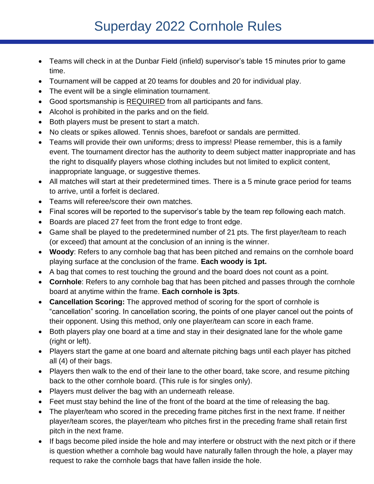## Superday 2022 Cornhole Rules

- Teams will check in at the Dunbar Field (infield) supervisor's table 15 minutes prior to game time.
- Tournament will be capped at 20 teams for doubles and 20 for individual play.
- The event will be a single elimination tournament.
- Good sportsmanship is REQUIRED from all participants and fans.
- Alcohol is prohibited in the parks and on the field.
- Both players must be present to start a match.
- No cleats or spikes allowed. Tennis shoes, barefoot or sandals are permitted.
- Teams will provide their own uniforms; dress to impress! Please remember, this is a family event. The tournament director has the authority to deem subject matter inappropriate and has the right to disqualify players whose clothing includes but not limited to explicit content, inappropriate language, or suggestive themes.
- All matches will start at their predetermined times. There is a 5 minute grace period for teams to arrive, until a forfeit is declared.
- Teams will referee/score their own matches.
- Final scores will be reported to the supervisor's table by the team rep following each match.
- Boards are placed 27 feet from the front edge to front edge.
- Game shall be played to the predetermined number of 21 pts. The first player/team to reach (or exceed) that amount at the conclusion of an inning is the winner.
- **Woody**: Refers to any cornhole bag that has been pitched and remains on the cornhole board playing surface at the conclusion of the frame. **Each woody is 1pt.**
- A bag that comes to rest touching the ground and the board does not count as a point.
- **Cornhole**: Refers to any cornhole bag that has been pitched and passes through the cornhole board at anytime within the frame. **Each cornhole is 3pts**.
- **Cancellation Scoring:** The approved method of scoring for the sport of cornhole is "cancellation" scoring. In cancellation scoring, the points of one player cancel out the points of their opponent. Using this method, only one player/team can score in each frame.
- Both players play one board at a time and stay in their designated lane for the whole game (right or left).
- Players start the game at one board and alternate pitching bags until each player has pitched all (4) of their bags.
- Players then walk to the end of their lane to the other board, take score, and resume pitching back to the other cornhole board. (This rule is for singles only).
- Players must deliver the bag with an underneath release.
- Feet must stay behind the line of the front of the board at the time of releasing the bag.
- The player/team who scored in the preceding frame pitches first in the next frame. If neither player/team scores, the player/team who pitches first in the preceding frame shall retain first pitch in the next frame.
- If bags become piled inside the hole and may interfere or obstruct with the next pitch or if there is question whether a cornhole bag would have naturally fallen through the hole, a player may request to rake the cornhole bags that have fallen inside the hole.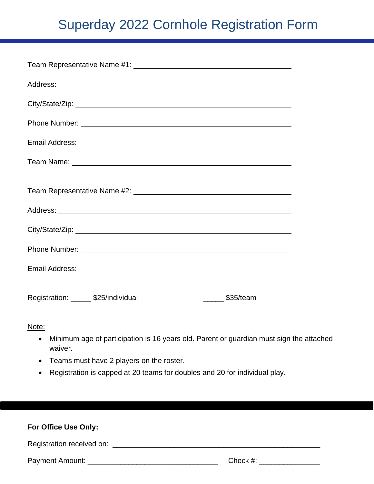## Superday 2022 Cornhole Registration Form

| Team Representative Name #2: [19] Team Management Assembly Present Assembly Present Assembly Present Assembly |  |  |  |  |  |  |  |  |  |  |
|---------------------------------------------------------------------------------------------------------------|--|--|--|--|--|--|--|--|--|--|
|                                                                                                               |  |  |  |  |  |  |  |  |  |  |
|                                                                                                               |  |  |  |  |  |  |  |  |  |  |
|                                                                                                               |  |  |  |  |  |  |  |  |  |  |
|                                                                                                               |  |  |  |  |  |  |  |  |  |  |
| Registration: _______ \$25/individual<br>\$35/team                                                            |  |  |  |  |  |  |  |  |  |  |

Note:

- Minimum age of participation is 16 years old. Parent or guardian must sign the attached waiver.
- Teams must have 2 players on the roster.
- Registration is capped at 20 teams for doubles and 20 for individual play.

| For Office Use Only:      |             |  |  |  |  |  |  |  |  |
|---------------------------|-------------|--|--|--|--|--|--|--|--|
| Registration received on: |             |  |  |  |  |  |  |  |  |
| Payment Amount: ___       | Check $#$ : |  |  |  |  |  |  |  |  |